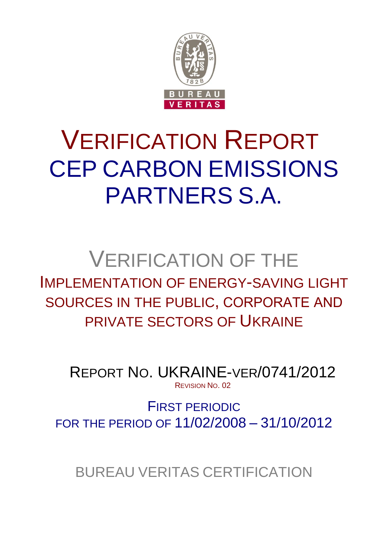

# VERIFICATION REPORT CEP CARBON EMISSIONS PARTNERS S.A.

# VERIFICATION OF THE IMPLEMENTATION OF ENERGY-SAVING LIGHT SOURCES IN THE PUBLIC, CORPORATE АND PRIVATE SECTORS OF UKRAINE

REPORT NO. UKRAINE-VER/0741/2012 REVISION NO. 02

FIRST PERIODIC FOR THE PERIOD OF 11/02/2008 – 31/10/2012

BUREAU VERITAS CERTIFICATION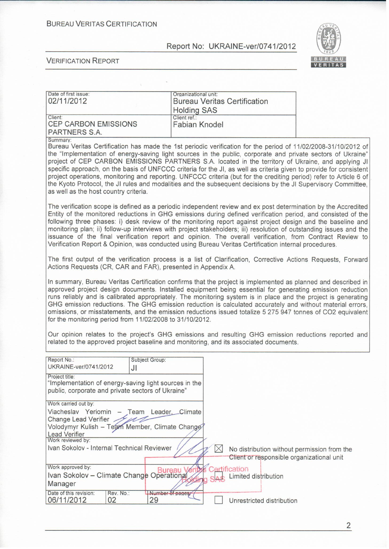#### **BUREAU VERITAS CERTIFICATION**

#### Report No: UKRAINE-ver/0741/2012



#### **VERIFICATION REPORT**

| Date of first issue:<br>02/11/2012                                                                                                                                                                                                                     | Organizational unit:<br><b>Bureau Veritas Certification</b><br><b>Holding SAS</b>                                                                                                                                                                                                                                                                                                                                                                                                                                                                                                                                                                                                                |  |
|--------------------------------------------------------------------------------------------------------------------------------------------------------------------------------------------------------------------------------------------------------|--------------------------------------------------------------------------------------------------------------------------------------------------------------------------------------------------------------------------------------------------------------------------------------------------------------------------------------------------------------------------------------------------------------------------------------------------------------------------------------------------------------------------------------------------------------------------------------------------------------------------------------------------------------------------------------------------|--|
| Client:<br><b>CEP CARBON EMISSIONS</b><br>PARTNERS S.A.                                                                                                                                                                                                | Client ref.:<br><b>Fabian Knodel</b>                                                                                                                                                                                                                                                                                                                                                                                                                                                                                                                                                                                                                                                             |  |
| Summary:<br>as well as the host country criteria.                                                                                                                                                                                                      | Bureau Veritas Certification has made the 1st periodic verification for the period of 11/02/2008-31/10/2012 of<br>the "Implementation of energy-saving light sources in the public, corporate and private sectors of Ukraine"<br>project of CEP CARBON EMISSIONS PARTNERS S.A. located in the territory of Ukraine, and applying JI<br>specific approach, on the basis of UNFCCC criteria for the JI, as well as criteria given to provide for consistent<br>project operations, monitoring and reporting. UNFCCC criteria (but for the crediting period) refer to Article 6 of<br>the Kyoto Protocol, the JI rules and modalities and the subsequent decisions by the JI Supervisory Committee, |  |
|                                                                                                                                                                                                                                                        | The verification scope is defined as a periodic independent review and ex post determination by the Accredited<br>Entity of the monitored reductions in GHG emissions during defined verification period, and consisted of the<br>following three phases: i) desk review of the monitoring report against project design and the baseline and<br>monitoring plan; ii) follow-up interviews with project stakeholders; iii) resolution of outstanding issues and the<br>issuance of the final verification report and opinion. The overall verification, from Contract Review to<br>Verification Report & Opinion, was conducted using Bureau Veritas Certification internal procedures.          |  |
| Actions Requests (CR, CAR and FAR), presented in Appendix A.                                                                                                                                                                                           | The first output of the verification process is a list of Clarification, Corrective Actions Requests, Forward                                                                                                                                                                                                                                                                                                                                                                                                                                                                                                                                                                                    |  |
| for the monitoring period from 11/02/2008 to 31/10/2012.                                                                                                                                                                                               | In summary, Bureau Veritas Certification confirms that the project is implemented as planned and described in<br>approved project design documents. Installed equipment being essential for generating emission reduction<br>runs reliably and is calibrated appropriately. The monitoring system is in place and the project is generating<br>GHG emission reductions. The GHG emission reduction is calculated accurately and without material errors,<br>omissions, or misstatements, and the emission reductions issued totalize 5 275 947 tonnes of CO2 equivalent                                                                                                                          |  |
|                                                                                                                                                                                                                                                        | Our opinion relates to the project's GHG emissions and resulting GHG emission reductions reported and<br>related to the approved project baseline and monitoring, and its associated documents.                                                                                                                                                                                                                                                                                                                                                                                                                                                                                                  |  |
| Report No.:<br>Subject Group:<br>UKRAINE-ver/0741/2012<br>JI                                                                                                                                                                                           |                                                                                                                                                                                                                                                                                                                                                                                                                                                                                                                                                                                                                                                                                                  |  |
| Project title:<br>'Implementation of energy-saving light sources in the<br>public, corporate and private sectors of Ukraine"                                                                                                                           |                                                                                                                                                                                                                                                                                                                                                                                                                                                                                                                                                                                                                                                                                                  |  |
| Work carried out by:<br>Viacheslav Yeriomin<br>Team Leader, Climate<br>$\qquad \qquad -$<br>Change Lead Verifier<br>Volodymyr Kulish - Team Member, Climate Change<br>Lead Verifier<br>Work reviewed by:<br>Ivan Sokolov - Internal Technical Reviewer | $\boxtimes$<br>No distribution without permission from the                                                                                                                                                                                                                                                                                                                                                                                                                                                                                                                                                                                                                                       |  |
| Work approved by:<br>Ivan Sokolov - Climate Change Operational<br>Manager<br>Date of this revision:<br>Rev. No.:                                                                                                                                       | Client or responsible organizational unit<br>Certification<br>Limited distribution<br>Number of pages                                                                                                                                                                                                                                                                                                                                                                                                                                                                                                                                                                                            |  |
| 06/11/2012<br>02<br>29                                                                                                                                                                                                                                 | Unrestricted distribution                                                                                                                                                                                                                                                                                                                                                                                                                                                                                                                                                                                                                                                                        |  |

 $\overline{2}$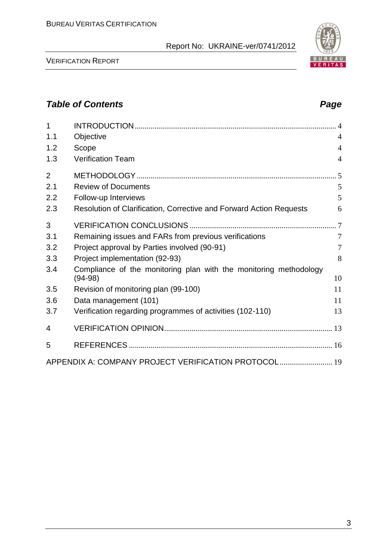#### VERIFICATION REPORT

# *Table of Contents Page*

| $\mathbf{1}$   |                                                                                |                 |
|----------------|--------------------------------------------------------------------------------|-----------------|
| 1.1            | Objective                                                                      | $\overline{4}$  |
| 1.2            | Scope                                                                          | $\overline{4}$  |
| 1.3            | <b>Verification Team</b>                                                       | 4               |
| $\overline{2}$ |                                                                                |                 |
| 2.1            | <b>Review of Documents</b>                                                     | 5               |
| 2.2            | Follow-up Interviews                                                           | 5               |
| 2.3            | Resolution of Clarification, Corrective and Forward Action Requests            | 6               |
| 3              |                                                                                |                 |
| 3.1            | Remaining issues and FARs from previous verifications                          | $7\phantom{.0}$ |
| 3.2            | Project approval by Parties involved (90-91)                                   | $\overline{7}$  |
| 3.3            | Project implementation (92-93)                                                 | 8               |
| 3.4            | Compliance of the monitoring plan with the monitoring methodology<br>$(94-98)$ | 10              |
|                |                                                                                |                 |
| 3.5            | Revision of monitoring plan (99-100)                                           | 11              |
| 3.6            | Data management (101)                                                          | 11              |
| 3.7            | Verification regarding programmes of activities (102-110)                      | 13              |
| 4              |                                                                                |                 |
| 5              |                                                                                |                 |
|                | APPENDIX A: COMPANY PROJECT VERIFICATION PROTOCOL 19                           |                 |

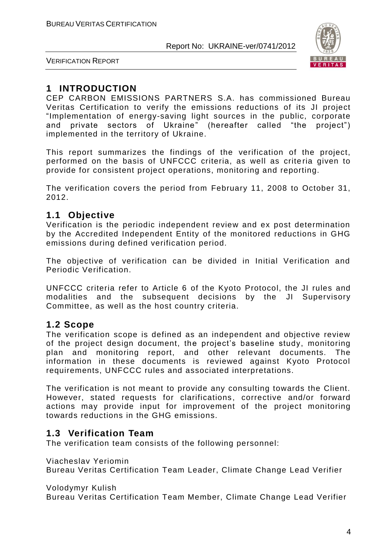

VERIFICATION REPORT

# **1 INTRODUCTION**

CEP CARBON EMISSIONS PARTNERS S.A. has commissioned Bureau Veritas Certification to verify the emissions reductions of its JI project "Implementation of energy-saving light sources in the public, corporate аnd private sectors of Ukraine" (hereafter called "the project") implemented in the territory of Ukraine.

This report summarizes the findings of the verification of the project, performed on the basis of UNFCCC criteria, as well as crite ria given to provide for consistent project operations, monitoring and reporting.

The verification covers the period from February 11, 2008 to October 31, 2012.

# **1.1 Objective**

Verification is the periodic independent review and ex post determination by the Accredited Independent Entity of the monitored reductions in GHG emissions during defined verification period.

The objective of verification can be divided in Initial Verification and Periodic Verification.

UNFCCC criteria refer to Article 6 of the Kyoto Protocol, the JI rules and modalities and the subsequent decisions by the JI Supervisory Committee, as well as the host country criteria.

# **1.2 Scope**

The verification scope is defined as an independent and objective review of the project design document, the project's baseline study, monitoring plan and monitoring report, and other relevant documents. The information in these documents is reviewed against Kyoto Protocol requirements, UNFCCC rules and associated interpretations.

The verification is not meant to provide any consulting towards the Client. However, stated requests for clarifications, corrective and/or forward actions may provide input for improvement of the project monitoring towards reductions in the GHG emissions.

# **1.3 Verification Team**

The verification team consists of the following personnel:

Viacheslav Yeriomin

Bureau Veritas Certification Team Leader, Climate Change Lead Verifier

Volodymyr Kulish

Bureau Veritas Certification Team Member, Climate Change Lead Verifier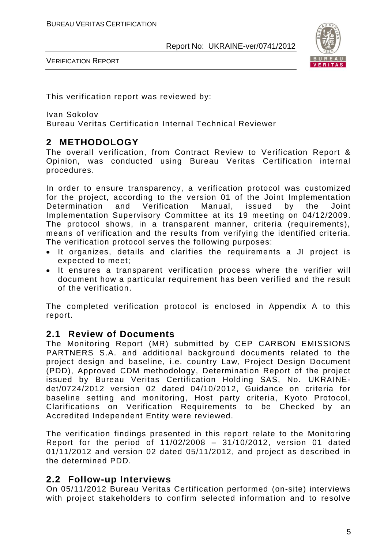

VERIFICATION REPORT

This verification report was reviewed by:

Ivan Sokolov

Bureau Veritas Certification Internal Technical Reviewer

# **2 METHODOLOGY**

The overall verification, from Contract Review to Verification Report & Opinion, was conducted using Bureau Veritas Certification internal procedures.

In order to ensure transparency, a verification protocol was customized for the project, according to the version 01 of the Joint Implementation Determination and Verification Manual, issued by the Joint Implementation Supervisory Committee at its 19 meeting on 04/12/2009. The protocol shows, in a transparent manner, criteria (requirements), means of verification and the results from verifying the identified criteria. The verification protocol serves the following purposes:

- It organizes, details and clarifies the requirements a JI project is expected to meet;
- It ensures a transparent verification process where the verifier will document how a particular requirement has been verified and the result of the verification.

The completed verification protocol is enclosed in Appendix A to this report.

# **2.1 Review of Documents**

The Monitoring Report (MR) submitted by CEP CARBON EMISSIONS PARTNERS S.A. and additional background documents related to the project design and baseline, i.e. country Law, Project Design Document (PDD), Approved CDM methodology, Determination Report of the project issued by Bureau Veritas Certification Holding SAS, No. UKRAINEdet/0724/2012 version 02 dated 04/10/2012, Guidance on criteria for baseline setting and monitoring, Host party criteria, Kyoto Protocol, Clarifications on Verification Requirements to be Checked by an Accredited Independent Entity were reviewed.

The verification findings presented in this report relate to the Monitoring Report for the period of 11/02/2008 – 31/10/2012, version 01 dated 01/11/2012 and version 02 dated 05/11/2012, and project as described in the determined PDD.

# **2.2 Follow-up Interviews**

On 05/11/2012 Bureau Veritas Certification performed (on-site) interviews with project stakeholders to confirm selected information and to resolve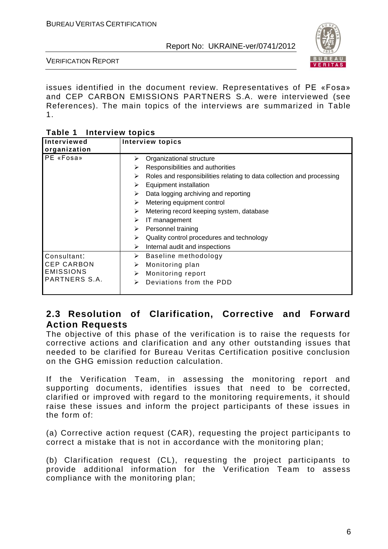

VERIFICATION REPORT

issues identified in the document review. Representatives of PE «Fosa» and CEP CARBON EMISSIONS PARTNERS S.A. were interviewed (see References). The main topics of the interviews are summarized in Table 1.

| Table 1 | <b>Interview topics</b> |
|---------|-------------------------|
|---------|-------------------------|

| Interviewed<br>organization           | <b>Interview topics</b>                                                    |
|---------------------------------------|----------------------------------------------------------------------------|
| <b>PE</b> «Fosa»                      | Organizational structure<br>≻                                              |
|                                       | Responsibilities and authorities<br>➤                                      |
|                                       | Roles and responsibilities relating to data collection and processing<br>➤ |
|                                       | Equipment installation<br>➤                                                |
|                                       | Data logging archiving and reporting<br>⋗                                  |
|                                       | Metering equipment control<br>➤                                            |
|                                       | Metering record keeping system, database<br>➤                              |
|                                       | IT management<br>➤                                                         |
|                                       | Personnel training<br>➤                                                    |
|                                       | Quality control procedures and technology<br>⋗                             |
|                                       | Internal audit and inspections<br>≻                                        |
| Consultant:                           | Baseline methodology<br>➤                                                  |
| <b>CEP CARBON</b><br><b>EMISSIONS</b> | Monitoring plan<br>➤                                                       |
|                                       | Monitoring report<br>⋗                                                     |
| PARTNERS S.A.                         | Deviations from the PDD<br>⋗                                               |

# **2.3 Resolution of Clarification, Corrective and Forward Action Requests**

The objective of this phase of the verification is to raise the requests for corrective actions and clarification and any other outstanding issues that needed to be clarified for Bureau Veritas Certification positive conclusion on the GHG emission reduction calculation.

If the Verification Team, in assessing the monitoring report and supporting documents, identifies issues that need to be corrected, clarified or improved with regard to the monitoring requirements, it should raise these issues and inform the project participants of these issues in the form of:

(a) Corrective action request (CAR), requesting the project participants to correct a mistake that is not in accordance with the monitoring plan;

(b) Clarification request (CL), requesting the project participants to provide additional information for the Verification Team to assess compliance with the monitoring plan;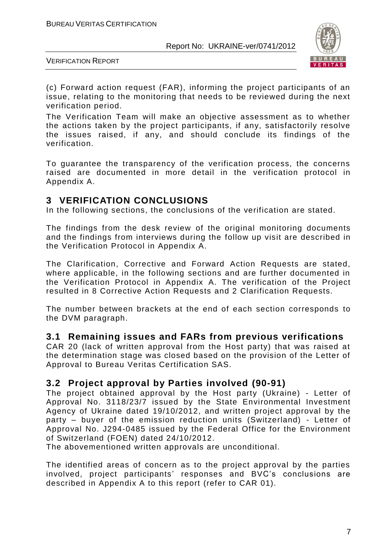

VERIFICATION REPORT

(c) Forward action request (FAR), informing the project participants of an issue, relating to the monitoring that needs to be reviewed during the next verification period.

The Verification Team will make an objective assessment as to whether the actions taken by the project participants, if any, satisfactorily resolve the issues raised, if any, and should conclude its findings of the verification.

To guarantee the transparency of the verification process, the concerns raised are documented in more detail in the verification protocol in Appendix A.

# **3 VERIFICATION CONCLUSIONS**

In the following sections, the conclusions of the verification are stated.

The findings from the desk review of the original monitoring documents and the findings from interviews during the follow up visit are described in the Verification Protocol in Appendix A.

The Clarification, Corrective and Forward Action Requests are stated, where applicable, in the following sections and are further documented in the Verification Protocol in Appendix A. The verification of the Project resulted in 8 Corrective Action Requests and 2 Clarification Requests.

The number between brackets at the end of each section corresponds to the DVM paragraph.

# **3.1 Remaining issues and FARs from previous verifications**

CAR 20 (lack of written approval from the Host party) that was raised at the determination stage was closed based on the provision of the Letter of Approval to Bureau Veritas Certification SAS.

# **3.2 Project approval by Parties involved (90-91)**

The project obtained approval by the Host party (Ukraine) - Letter of Approval No. 3118/23/7 issued by the State Environmental Investment Agency of Ukraine dated 19/10/2012, and written project approval by the party – buyer of the emission reduction units (Switzerland) - Letter of Approval No. J294-0485 issued by the Federal Office for the Environment of Switzerland (FOEN) dated 24/10/2012.

The abovementioned written approvals are unconditional.

The identified areas of concern as to the project approval by the parties involved, project participants' responses and BVC's conclusions are described in Appendix A to this report (refer to CAR 01).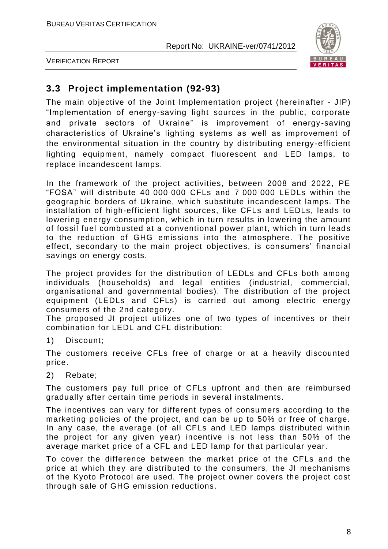

VERIFICATION REPORT

# **3.3 Project implementation (92-93)**

The main objective of the Joint Implementation project (hereinafter - JIP) "Implementation of energy-saving light sources in the public, corporate and private sectors of Ukraine" is improvement of energy-saving characteristics of Ukraine's lighting systems as well as improvement of the environmental situation in the country by distributing energy -efficient lighting equipment, namely compact fluorescent and LED lamps, to replace incandescent lamps.

In the framework of the project activities, between 2008 and 2022, PE "FOSA" will distribute 40 000 000 CFLs and 7 000 000 LEDLs within the geographic borders of Ukraine, which substitute incandescent lamps. The installation of high-efficient light sources, like CFLs and LEDLs, leads to lowering energy consumption, which in turn results in lowering the amount of fossil fuel combusted at a conventional power plant, wh ich in turn leads to the reduction of GHG emissions into the atmosphere. The positive effect, secondary to the main project objectives, is consumers' financial savings on energy costs.

The project provides for the distribution of LEDLs and CFLs both among individuals (households) and legal entities (industrial, commercial, organisational and governmental bodies). The distribution of the project equipment (LEDLs and CFLs) is carried out among electric energy consumers of the 2nd category.

The proposed JI project utilizes one of two types of incentives or their combination for LEDL and CFL distribution:

1) Discount;

The customers receive CFLs free of charge or at a heavily discounted price.

2) Rebate;

The customers pay full price of CFLs upfront and then are reimbursed gradually after certain time periods in several instalments.

The incentives can vary for different types of consumers according to the marketing policies of the project, and can be up to 50% or free of charge. In any case, the average (of all CFLs and LED lamps distributed within the project for any given year) incentive is not less than 50% of the average market price of a CFL and LED lamp for that particular year.

To cover the difference between the market price of the CFLs and the price at which they are distributed to the consumers, the JI mechanisms of the Kyoto Protocol are used. The project owner covers the project cost through sale of GHG emission reductions.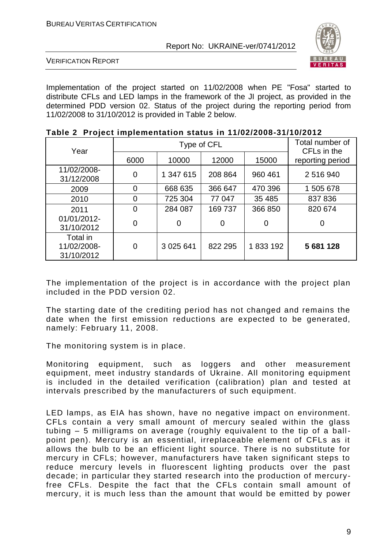

VERIFICATION REPORT

Implementation of the project started on 11/02/2008 when PE "Fosa" started to distribute CFLs and LED lamps in the framework of the JI project, as provided in the determined PDD version 02. Status of the project during the reporting period from 11/02/2008 to 31/10/2012 is provided in Table 2 below.

| Year                                  |      | Type of CFL | Total number of<br>CFL <sub>s</sub> in the |         |                  |
|---------------------------------------|------|-------------|--------------------------------------------|---------|------------------|
|                                       | 6000 | 10000       | 12000                                      | 15000   | reporting period |
| 11/02/2008-<br>31/12/2008             | 0    | 1 347 615   | 208 864                                    | 960 461 | 2 516 940        |
| 2009                                  | 0    | 668 635     | 366 647                                    | 470 396 | 1 505 678        |
| 2010                                  | 0    | 725 304     | 77 047                                     | 35 4 85 | 837 836          |
| 2011                                  | 0    | 284 087     | 169737                                     | 366 850 | 820 674          |
| 01/01/2012-<br>31/10/2012             | 0    | 0           | 0                                          | 0       | 0                |
| Total in<br>11/02/2008-<br>31/10/2012 | 0    | 3 0 25 6 41 | 822 295                                    | 1833192 | 5 681 128        |

|  |  |  |  | Table 2 Project implementation status in 11/02/2008-31/10/2012 |
|--|--|--|--|----------------------------------------------------------------|
|--|--|--|--|----------------------------------------------------------------|

The implementation of the project is in accordance with the project plan included in the PDD version 02.

The starting date of the crediting period has not changed and remains the date when the first emission reductions are expected to be generated, namely: February 11, 2008.

The monitoring system is in place.

Monitoring equipment, such as loggers and other measurement equipment, meet industry standards of Ukraine. All monitoring equipment is included in the detailed verification (calibration) plan and tested at intervals prescribed by the manufacturers of such equipment.

LED lamps, as EIA has shown, have no negative impact on environment. CFLs contain a very small amount of mercury sealed within the glass tubing – 5 milligrams on average (roughly equivalent to the tip of a ballpoint pen). Mercury is an essential, irreplaceable element of CFLs as it allows the bulb to be an efficient light source. There is no substitute for mercury in CFLs; however, manufacturers have taken significant steps to reduce mercury levels in fluorescent lighting products over the past decade; in particular they started research into the production of mercuryfree CFLs. Despite the fact that the CFLs contain small amount of mercury, it is much less than the amount that would be emitted by power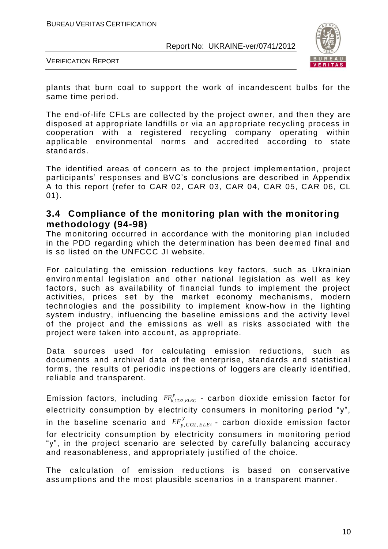

VERIFICATION REPORT

plants that burn coal to support the work of incandescent bulbs for the same time period.

The end-of-life CFLs are collected by the project owner, and then they are disposed at appropriate landfills or via an appropriate recycling process in cooperation with a registered recycling company operating within applicable environmental norms and accredited according to state standards.

The identified areas of concern as to the project implementation, project participants' responses and BVC's conclusions are described in Appendix A to this report (refer to CAR 02, CAR 03, CAR 04, CAR 05, CAR 06, CL 01).

# **3.4 Compliance of the monitoring plan with the monitoring methodology (94-98)**

The monitoring occurred in accordance with the monitoring plan included in the PDD regarding which the determination has been deemed final and is so listed on the UNFCCC JI website.

For calculating the emission reductions key factors, such as Ukrainian environmental legislation and other national legislation as well as key factors, such as availability of financial funds to implement the project activities, prices set by the market economy mechanisms, modern technologies and the possibility to implement know-how in the lighting system industry, influencing the baseline emissions and the activity level of the project and the emissions as well as risks associated with the project were taken into account, as appropriate.

Data sources used for calculating emission reductions, such as documents and archival data of the enterprise, standards and statistical forms, the results of periodic inspections of loggers are clearly identified, reliable and transparent.

Emission factors, including  $\mathit{EF}^\mathrm{y}_{b,CO2,}$  $\it EF_{b,CO2,ELEC}^{\rm y}$  - carbon dioxide emission factor for electricity consumption by electricity consumers in monitoring period "y", in the baseline scenario and  $\mathit{EF}_{p,\mathit{CO2},p}^{\gamma}$  $\mathit{EF}_{p,\mathit{CO2},\mathit{ELE}}^y$  - carbon dioxide emission factor for electricity consumption by electricity consumers in monitoring period "y", in the project scenario are selected by carefully balancing accuracy and reasonableness, and appropriately justified of the choice.

The calculation of emission reductions is based on conservative assumptions and the most plausible scenarios in a transparent manner.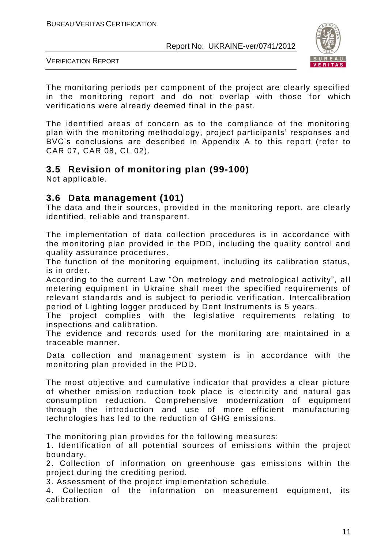

VERIFICATION REPORT

The monitoring periods per component of the project are clearly specified in the monitoring report and do not overlap with those for which verifications were already deemed final in the past.

The identified areas of concern as to the compliance of the monitoring plan with the monitoring methodology, project participants' responses and BVC's conclusions are described in Appendix A to this report (refer to CAR 07, CAR 08, CL 02).

# **3.5 Revision of monitoring plan (99-100)**

Not applicable.

# **3.6 Data management (101)**

The data and their sources, provided in the monitoring report, are clearly identified, reliable and transparent.

The implementation of data collection procedures is in accordance with the monitoring plan provided in the PDD, including the quality control and quality assurance procedures.

The function of the monitoring equipment, including its calibration status, is in order.

According to the current Law "On metrology and metrological activity", all metering equipment in Ukraine shall meet the specified requirements of relevant standards and is subject to periodic verification. Intercalibration period of Lighting logger produced by Dent Instruments is 5 years.

The project complies with the legislative requirements relating to inspections and calibration.

The evidence and records used for the monitoring are maintained in a traceable manner.

Data collection and management system is in accordance with the monitoring plan provided in the PDD.

The most objective and cumulative indicator that provides a clear picture of whether emission reduction took place is electricity and natural gas consumption reduction. Comprehensive modernization of equipment through the introduction and use of more efficient manufacturing technologies has led to the reduction of GHG emissions.

The monitoring plan provides for the following measures:

1. Identification of all potential sources of emissions within the project boundary.

2. Collection of information on greenhouse gas emissions within the project during the crediting period.

3. Assessment of the project implementation schedule.

4. Collection of the information on measurement equipment, its calibration.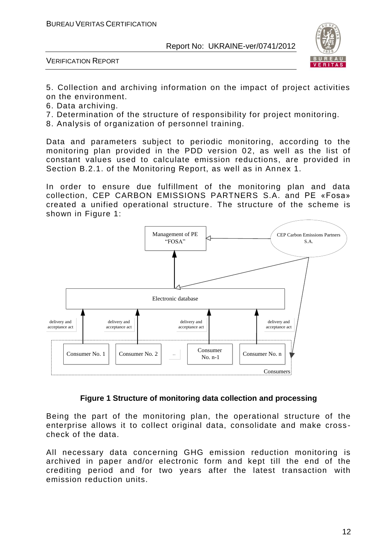

VERIFICATION REPORT

5. Collection and archiving information on the impact of project activities on the environment.

- 6. Data archiving.
- 7. Determination of the structure of responsibility for project monitoring.
- 8. Analysis of organization of personnel training.

Data and parameters subject to periodic monitoring, according to the monitoring plan provided in the PDD version 02, as well as the list of constant values used to calculate emission reductions, are provided in Section B.2.1. of the Monitoring Report, as well as in Annex 1.

In order to ensure due fulfillment of the monitoring plan and data collection, CEP CARBON EMISSIONS PARTNERS S.A. and PE «Fosa» created a unified operational structure. The structure of the scheme is shown in Figure 1:



#### **Figure 1 Structure of monitoring data collection and processing**

Being the part of the monitoring plan, the operational structure of the enterprise allows it to collect original data, consolidate and make cross check of the data.

All necessary data concerning GHG emission reduction monitoring is archived in paper and/or electronic form and kept till the end of the crediting period and for two years after the latest transaction with emission reduction units.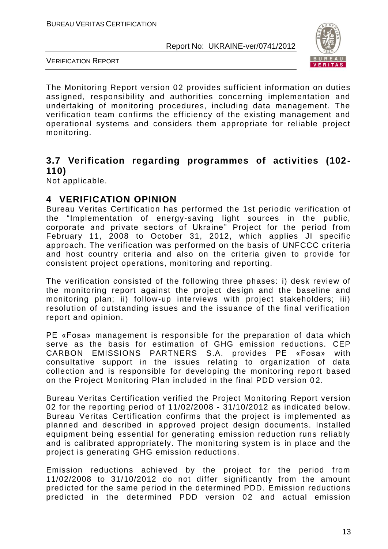

VERIFICATION REPORT

The Monitoring Report version 02 provides sufficient information on duties assigned, responsibility and authorities concerning implementation and undertaking of monitoring procedures, including data management. The verification team confirms the efficiency of the existing management and operational systems and considers them appropriate for reliable project monitoring.

# **3.7 Verification regarding programmes of activities (102- 110)**

Not applicable.

# **4 VERIFICATION OPINION**

Bureau Veritas Certification has performed the 1st periodic verification of the "Implementation of energy-saving light sources in the public, corporate аnd private sectors of Ukraine" Project for the period from February 11, 2008 to October 31, 2012, which applies JI specific approach. The verification was performed on the basis of UNFCCC criteria and host country criteria and also on the criteria given to provide for consistent project operations, monitoring and reporting.

The verification consisted of the following three phases: i) desk review of the monitoring report against the project design and the baseline and monitoring plan; ii) follow-up interviews with project stakeholders; iii) resolution of outstanding issues and the issuance of the final verification report and opinion.

PE «Fosa» management is responsible for the preparation of data which serve as the basis for estimation of GHG emission reductions. CEP CARBON EMISSIONS PARTNERS S.A. provides PE «Fosa» with consultative support in the issues relating to organization of data collection and is responsible for developing the monitoring report based on the Project Monitoring Plan included in the final PDD version 02.

Bureau Veritas Certification verified the Project Monitoring Report version 02 for the reporting period of 11/02/2008 - 31/10/2012 as indicated below. Bureau Veritas Certification confirms that the project is implemented as planned and described in approved project design documents. Installed equipment being essential for generating emission reduction runs reliably and is calibrated appropriately. The monitoring system is in place and the project is generating GHG emission reductions.

Emission reductions achieved by the project for the period from 11/02/2008 to 31/10/2012 do not differ significantly from the amount predicted for the same period in the determined PDD. Emission reductions predicted in the determined PDD version 02 and actual emission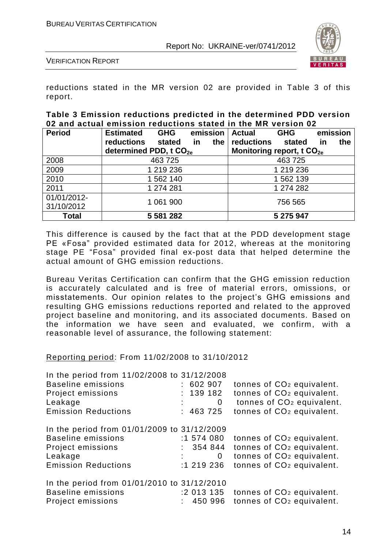

VERIFICATION REPORT

reductions stated in the MR version 02 are provided in Table 3 of this report.

#### **Table 3 Emission reductions predicted in the determined PDD version 02 and actual emission reductions stated in the MR version 02**

| <b>Period</b> | <b>Estimated</b><br><b>GHG</b>     | emission  | <b>Actual</b>                         | <b>GHG</b> | emission         |
|---------------|------------------------------------|-----------|---------------------------------------|------------|------------------|
|               | <b>reductions</b><br>stated        | in<br>the | reductions                            | stated     | the<br><u>in</u> |
|               | determined PDD, t CO <sub>2e</sub> |           | Monitoring report, t CO <sub>2e</sub> |            |                  |
| 2008          | 463725                             |           |                                       | 463725     |                  |
| 2009          | 1 219 236                          |           |                                       | 1 219 236  |                  |
| 2010          | 1 562 140                          |           |                                       | 1 562 139  |                  |
| 2011          | 1 274 281                          |           |                                       | 1 274 282  |                  |
| 01/01/2012-   | 1 061 900                          |           |                                       | 756 565    |                  |
| 31/10/2012    |                                    |           |                                       |            |                  |
| <b>Total</b>  | 5 581 282                          |           |                                       | 5 275 947  |                  |

This difference is caused by the fact that at the PDD development stage PE «Fosa" provided estimated data for 2012, whereas at the monitoring stage PE "Fosa" provided final ex-post data that helped determine the actual amount of GHG emission reductions.

Bureau Veritas Certification can confirm that the GHG emission reduction is accurately calculated and is free of material errors, omissions, or misstatements. Our opinion relates to the project's GHG emissions and resulting GHG emissions reductions reported and related to the approved project baseline and monitoring, and its associated documents. Based on the information we have seen and evaluated, we confirm, with a reasonable level of assurance, the following statement:

#### Reporting period: From 11/02/2008 to 31/10/2012

| In the period from 11/02/2008 to 31/12/2008 |             |                                        |
|---------------------------------------------|-------------|----------------------------------------|
| <b>Baseline emissions</b>                   | : 602907    | tonnes of CO <sub>2</sub> equivalent.  |
| Project emissions                           | : 139182    | tonnes of CO <sub>2</sub> equivalent.  |
| Leakage                                     | 0           | tonnes of CO <sub>2</sub> equivalent.  |
| <b>Emission Reductions</b>                  | : 463725    | tonnes of CO <sub>2</sub> equivalent.  |
| In the period from 01/01/2009 to 31/12/2009 |             |                                        |
| <b>Baseline emissions</b>                   | :1 574 080  | tonnes of CO <sub>2</sub> equivalent.  |
| Project emissions                           | 354 844     | tonnes of CO <sub>2</sub> equivalent.  |
| Leakage                                     | $\mathbf 0$ | tonnes of CO <sub>2</sub> equivalent.  |
| <b>Emission Reductions</b>                  | :1 219 236  | tonnes of CO <sub>2</sub> equivalent.  |
| In the period from 01/01/2010 to 31/12/2010 |             |                                        |
| <b>Baseline emissions</b>                   | :2 013 135  | tonnes of CO <sub>2</sub> equivalent.  |
| Project emissions                           |             | $: 450996$ tonnes of $CO2$ equivalent. |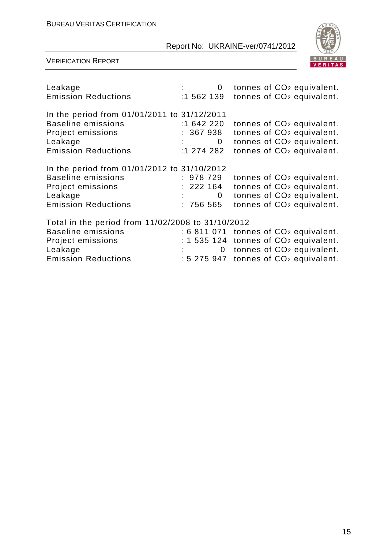

| Leakage<br><b>Emission Reductions</b>                                                                                                        | 0                                                       | tonnes of CO <sub>2</sub> equivalent.<br>$:1562139$ tonnes of $CO2$ equivalent.                                                                                                  |
|----------------------------------------------------------------------------------------------------------------------------------------------|---------------------------------------------------------|----------------------------------------------------------------------------------------------------------------------------------------------------------------------------------|
| In the period from 01/01/2011 to 31/12/2011<br><b>Baseline emissions</b><br>Project emissions<br>Leakage<br><b>Emission Reductions</b>       | :1 642 220<br>: 367 938<br>$\overline{0}$<br>:1 274 282 | tonnes of CO <sub>2</sub> equivalent.<br>tonnes of CO <sub>2</sub> equivalent.<br>tonnes of CO <sub>2</sub> equivalent.<br>tonnes of CO <sub>2</sub> equivalent.                 |
| In the period from 01/01/2012 to 31/10/2012<br><b>Baseline emissions</b><br>Project emissions<br>Leakage<br><b>Emission Reductions</b>       | : 978 729<br>: 222164<br>$\mathbf 0$<br>: 75655         | tonnes of CO <sub>2</sub> equivalent.<br>tonnes of CO <sub>2</sub> equivalent.<br>tonnes of CO <sub>2</sub> equivalent.<br>tonnes of CO <sub>2</sub> equivalent.                 |
| Total in the period from 11/02/2008 to 31/10/2012<br><b>Baseline emissions</b><br>Project emissions<br>Leakage<br><b>Emission Reductions</b> | $\mathbf{0}$                                            | $: 6811071$ tonnes of $CO2$ equivalent.<br>$: 1535124$ tonnes of $CO2$ equivalent.<br>tonnes of CO <sub>2</sub> equivalent.<br>: 5 275 947 tonnes of CO <sub>2</sub> equivalent. |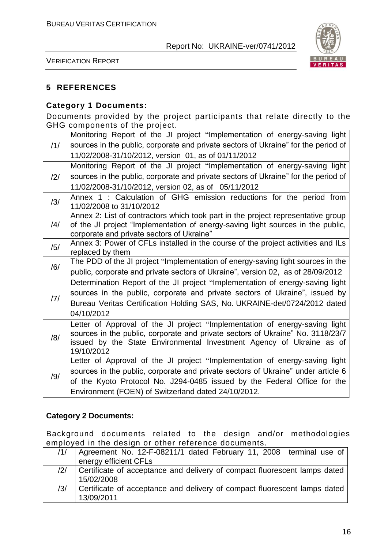

VERIFICATION REPORT

# **5 REFERENCES**

## **Category 1 Documents:**

Documents provided by the project participants that relate directly to the GHG components of the project.

|                | Monitoring Report of the JI project "Implementation of energy-saving light                       |
|----------------|--------------------------------------------------------------------------------------------------|
| /1/            | sources in the public, corporate and private sectors of Ukraine" for the period of               |
|                | 11/02/2008-31/10/2012, version 01, as of 01/11/2012                                              |
|                | Monitoring Report of the JI project "Implementation of energy-saving light                       |
| $\frac{12}{1}$ | sources in the public, corporate and private sectors of Ukraine" for the period of               |
|                | 11/02/2008-31/10/2012, version 02, as of 05/11/2012                                              |
| /3/            | Annex 1 : Calculation of GHG emission reductions for the period from<br>11/02/2008 to 31/10/2012 |
|                | Annex 2: List of contractors which took part in the project representative group                 |
| $\frac{14}{1}$ | of the JI project "Implementation of energy-saving light sources in the public,                  |
|                | corporate and private sectors of Ukraine"                                                        |
| /5/            | Annex 3: Power of CFLs installed in the course of the project activities and ILs                 |
|                | replaced by them                                                                                 |
| /6/            | The PDD of the JI project "Implementation of energy-saving light sources in the                  |
|                | public, corporate and private sectors of Ukraine", version 02, as of 28/09/2012                  |
|                | Determination Report of the JI project "Implementation of energy-saving light                    |
| 7              | sources in the public, corporate and private sectors of Ukraine", issued by                      |
|                | Bureau Veritas Certification Holding SAS, No. UKRAINE-det/0724/2012 dated                        |
|                | 04/10/2012                                                                                       |
|                | Letter of Approval of the JI project "Implementation of energy-saving light                      |
| /8/            | sources in the public, corporate and private sectors of Ukraine" No. 3118/23/7                   |
|                | issued by the State Environmental Investment Agency of Ukraine as of<br>19/10/2012               |
|                | Letter of Approval of the JI project "Implementation of energy-saving light                      |
|                | sources in the public, corporate and private sectors of Ukraine" under article 6                 |
| /9/            | of the Kyoto Protocol No. J294-0485 issued by the Federal Office for the                         |
|                | Environment (FOEN) of Switzerland dated 24/10/2012.                                              |
|                |                                                                                                  |

#### **Category 2 Documents:**

Background documents related to the design and/or methodologies employed in the design or other reference documents.

| /1/            | Agreement No. 12-F-08211/1 dated February 11, 2008 terminal use of        |
|----------------|---------------------------------------------------------------------------|
|                | energy efficient CFLs                                                     |
| $\frac{12}{1}$ | Certificate of acceptance and delivery of compact fluorescent lamps dated |
|                | 15/02/2008                                                                |
| /3/            | Certificate of acceptance and delivery of compact fluorescent lamps dated |
|                | 13/09/2011                                                                |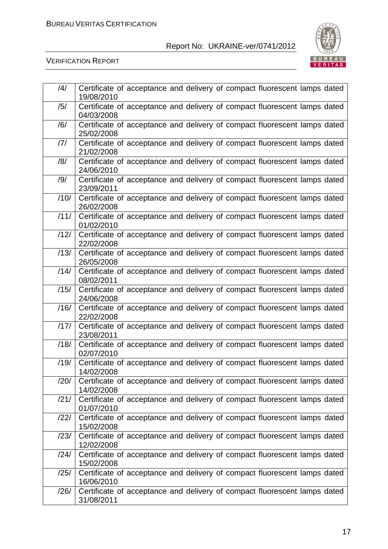

| /4/  | Certificate of acceptance and delivery of compact fluorescent lamps dated<br>19/08/2010 |
|------|-----------------------------------------------------------------------------------------|
| /5/  | Certificate of acceptance and delivery of compact fluorescent lamps dated<br>04/03/2008 |
| /6/  | Certificate of acceptance and delivery of compact fluorescent lamps dated<br>25/02/2008 |
| 7    | Certificate of acceptance and delivery of compact fluorescent lamps dated<br>21/02/2008 |
| /8/  | Certificate of acceptance and delivery of compact fluorescent lamps dated<br>24/06/2010 |
| /9/  | Certificate of acceptance and delivery of compact fluorescent lamps dated<br>23/09/2011 |
| /10/ | Certificate of acceptance and delivery of compact fluorescent lamps dated<br>26/02/2008 |
| /11/ | Certificate of acceptance and delivery of compact fluorescent lamps dated<br>01/02/2010 |
| /12/ | Certificate of acceptance and delivery of compact fluorescent lamps dated<br>22/02/2008 |
| /13/ | Certificate of acceptance and delivery of compact fluorescent lamps dated<br>26/05/2008 |
| /14/ | Certificate of acceptance and delivery of compact fluorescent lamps dated<br>08/02/2011 |
| /15/ | Certificate of acceptance and delivery of compact fluorescent lamps dated<br>24/06/2008 |
| /16/ | Certificate of acceptance and delivery of compact fluorescent lamps dated<br>22/02/2008 |
| /17/ | Certificate of acceptance and delivery of compact fluorescent lamps dated<br>23/08/2011 |
| /18/ | Certificate of acceptance and delivery of compact fluorescent lamps dated<br>02/07/2010 |
| /19/ | Certificate of acceptance and delivery of compact fluorescent lamps dated<br>14/02/2008 |
| /20/ | Certificate of acceptance and delivery of compact fluorescent lamps dated<br>14/02/2008 |
| /21/ | Certificate of acceptance and delivery of compact fluorescent lamps dated<br>01/07/2010 |
| /22/ | Certificate of acceptance and delivery of compact fluorescent lamps dated<br>15/02/2008 |
| /23/ | Certificate of acceptance and delivery of compact fluorescent lamps dated<br>12/02/2008 |
| /24/ | Certificate of acceptance and delivery of compact fluorescent lamps dated<br>15/02/2008 |
| /25/ | Certificate of acceptance and delivery of compact fluorescent lamps dated<br>16/06/2010 |
| /26/ | Certificate of acceptance and delivery of compact fluorescent lamps dated<br>31/08/2011 |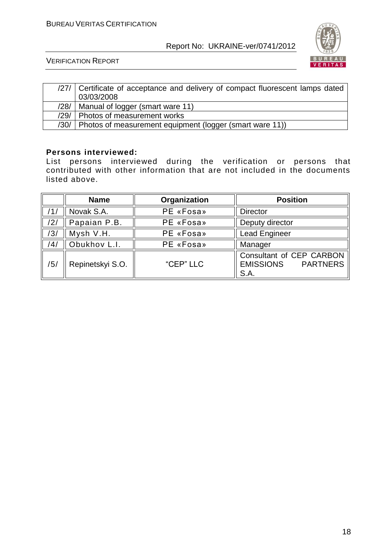

VERIFICATION REPORT

|      | /27/ Certificate of acceptance and delivery of compact fluorescent lamps dated<br>03/03/2008 |
|------|----------------------------------------------------------------------------------------------|
| /28/ | Manual of logger (smart ware 11)                                                             |
| /29/ | Photos of measurement works                                                                  |
| /30/ | Photos of measurement equipment (logger (smart ware 11))                                     |

#### **Persons interviewed:**

List persons interviewed during the verification or persons that contributed with other information that are not included in the documents listed above.

|     | <b>Name</b>      | Organization | <b>Position</b>                                                         |  |  |
|-----|------------------|--------------|-------------------------------------------------------------------------|--|--|
|     | Novak S.A.       | PE «Fosa»    | <b>Director</b>                                                         |  |  |
| 121 | Papaian P.B.     | PE «Fosa»    | Deputy director                                                         |  |  |
| /3/ | Mysh V.H.        | PE «Fosa»    | <b>Lead Engineer</b>                                                    |  |  |
| /4/ | Obukhov L.I.     | PE «Fosa»    | Manager                                                                 |  |  |
| /5/ | Repinetskyi S.O. | "CEP" LLC    | Consultant of CEP CARBON<br><b>PARTNERS</b><br><b>EMISSIONS</b><br>S.A. |  |  |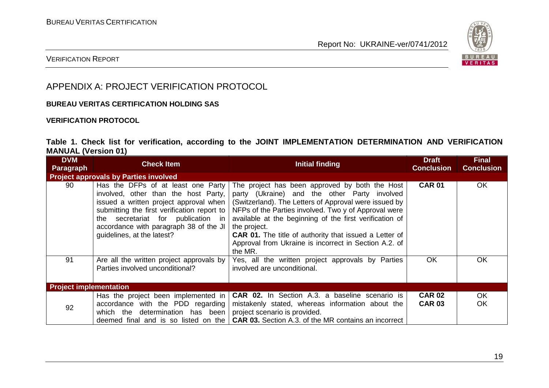

### VERIFICATION REPORT

# APPENDIX A: PROJECT VERIFICATION PROTOCOL

#### **BUREAU VERITAS CERTIFICATION HOLDING SAS**

#### **VERIFICATION PROTOCOL**

#### **Table 1. Check list for verification, according to the JOINT IMPLEMENTATION DETERMINATION AND VERIFICATION MANUAL (Version 01)**

| <b>DVM</b><br><b>Paragraph</b> | <b>Check Item</b>                                                                                                                                                                                                                                                                    | <b>Initial finding</b>                                                                                                                                                                                                                                                                                                                                                                                                          | <b>Draft</b><br><b>Conclusion</b> | <b>Final</b><br><b>Conclusion</b> |
|--------------------------------|--------------------------------------------------------------------------------------------------------------------------------------------------------------------------------------------------------------------------------------------------------------------------------------|---------------------------------------------------------------------------------------------------------------------------------------------------------------------------------------------------------------------------------------------------------------------------------------------------------------------------------------------------------------------------------------------------------------------------------|-----------------------------------|-----------------------------------|
|                                | <b>Project approvals by Parties involved</b>                                                                                                                                                                                                                                         |                                                                                                                                                                                                                                                                                                                                                                                                                                 |                                   |                                   |
| 90                             | Has the DFPs of at least one Party<br>involved, other than the host Party,<br>issued a written project approval when<br>submitting the first verification report to<br>secretariat for publication in<br>the<br>accordance with paragraph 38 of the JI<br>guidelines, at the latest? | The project has been approved by both the Host<br>party (Ukraine) and the other Party involved<br>(Switzerland). The Letters of Approval were issued by<br>NFPs of the Parties involved. Two y of Approval were<br>available at the beginning of the first verification of<br>the project.<br><b>CAR 01.</b> The title of authority that issued a Letter of<br>Approval from Ukraine is incorrect in Section A.2. of<br>the MR. | <b>CAR 01</b>                     | <b>OK</b>                         |
| 91                             | Are all the written project approvals by<br>Parties involved unconditional?                                                                                                                                                                                                          | Yes, all the written project approvals by Parties<br>involved are unconditional.                                                                                                                                                                                                                                                                                                                                                | OK.                               | OK.                               |
| <b>Project implementation</b>  |                                                                                                                                                                                                                                                                                      |                                                                                                                                                                                                                                                                                                                                                                                                                                 |                                   |                                   |
| 92                             | Has the project been implemented in<br>accordance with the PDD regarding<br>determination has been<br>which the<br>deemed final and is so listed on the                                                                                                                              | <b>CAR 02.</b> In Section A.3. a baseline scenario is<br>mistakenly stated, whereas information about the<br>project scenario is provided.<br><b>CAR 03.</b> Section A.3. of the MR contains an incorrect                                                                                                                                                                                                                       | <b>CAR 02</b><br><b>CAR 03</b>    | <b>OK</b><br>OK                   |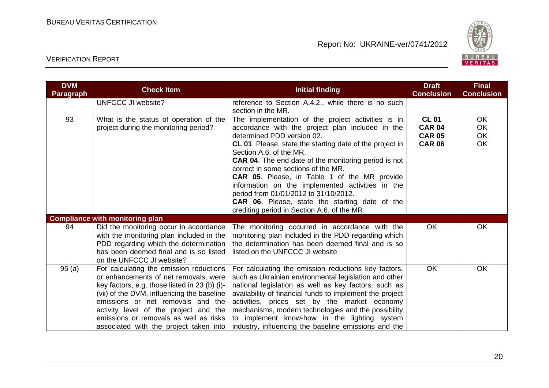

| <b>DVM</b><br><b>Paragraph</b> | <b>Check Item</b>                                                                                                                                                                                                                                                                                                                                 | <b>Initial finding</b>                                                                                                                                                                                                                                                                                                                                                                                                                                                                                                                                                                        | <b>Draft</b><br><b>Conclusion</b>                               | <b>Final</b><br><b>Conclusion</b>  |
|--------------------------------|---------------------------------------------------------------------------------------------------------------------------------------------------------------------------------------------------------------------------------------------------------------------------------------------------------------------------------------------------|-----------------------------------------------------------------------------------------------------------------------------------------------------------------------------------------------------------------------------------------------------------------------------------------------------------------------------------------------------------------------------------------------------------------------------------------------------------------------------------------------------------------------------------------------------------------------------------------------|-----------------------------------------------------------------|------------------------------------|
|                                | <b>UNFCCC JI website?</b>                                                                                                                                                                                                                                                                                                                         | reference to Section A.4.2., while there is no such<br>section in the MR.                                                                                                                                                                                                                                                                                                                                                                                                                                                                                                                     |                                                                 |                                    |
| 93                             | What is the status of operation of the<br>project during the monitoring period?                                                                                                                                                                                                                                                                   | The implementation of the project activities is in<br>accordance with the project plan included in the<br>determined PDD version 02.<br>CL 01. Please, state the starting date of the project in<br>Section A.6. of the MR.<br><b>CAR 04.</b> The end date of the monitoring period is not<br>correct in some sections of the MR.<br><b>CAR 05.</b> Please, in Table 1 of the MR provide<br>information on the implemented activities in the<br>period from 01/01/2012 to 31/10/2012.<br><b>CAR 06.</b> Please, state the starting date of the<br>crediting period in Section A.6. of the MR. | <b>CL 01</b><br><b>CAR 04</b><br><b>CAR 05</b><br><b>CAR 06</b> | <b>OK</b><br><b>OK</b><br>OK<br>OK |
|                                | <b>Compliance with monitoring plan</b>                                                                                                                                                                                                                                                                                                            |                                                                                                                                                                                                                                                                                                                                                                                                                                                                                                                                                                                               |                                                                 |                                    |
| 94                             | Did the monitoring occur in accordance<br>with the monitoring plan included in the<br>PDD regarding which the determination<br>has been deemed final and is so listed<br>on the UNFCCC JI website?                                                                                                                                                | The monitoring occurred in accordance with the<br>monitoring plan included in the PDD regarding which<br>the determination has been deemed final and is so<br>listed on the UNFCCC JI website                                                                                                                                                                                                                                                                                                                                                                                                 | <b>OK</b>                                                       | <b>OK</b>                          |
| 95(a)                          | For calculating the emission reductions<br>or enhancements of net removals, were<br>key factors, e.g. those listed in 23 (b) (i)-<br>(vii) of the DVM, influencing the baseline<br>emissions or net removals and the<br>activity level of the project and the<br>emissions or removals as well as risks<br>associated with the project taken into | For calculating the emission reductions key factors,<br>such as Ukrainian environmental legislation and other<br>national legislation as well as key factors, such as<br>availability of financial funds to implement the project<br>activities, prices set by the market economy<br>mechanisms, modern technologies and the possibility<br>to implement know-how in the lighting system<br>industry, influencing the baseline emissions and the                                                                                                                                              | <b>OK</b>                                                       | <b>OK</b>                          |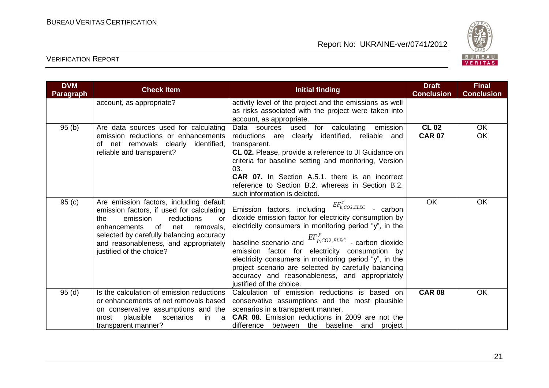

| <b>DVM</b><br><b>Paragraph</b> | <b>Check Item</b>                                                                                                                                                                                                                                                                      | <b>Initial finding</b>                                                                                                                                                                                                                                                                                                                                                                                                                                                                                  | <b>Draft</b><br><b>Conclusion</b> | <b>Final</b><br><b>Conclusion</b> |
|--------------------------------|----------------------------------------------------------------------------------------------------------------------------------------------------------------------------------------------------------------------------------------------------------------------------------------|---------------------------------------------------------------------------------------------------------------------------------------------------------------------------------------------------------------------------------------------------------------------------------------------------------------------------------------------------------------------------------------------------------------------------------------------------------------------------------------------------------|-----------------------------------|-----------------------------------|
|                                | account, as appropriate?                                                                                                                                                                                                                                                               | activity level of the project and the emissions as well<br>as risks associated with the project were taken into<br>account, as appropriate.                                                                                                                                                                                                                                                                                                                                                             |                                   |                                   |
| 95(b)                          | Are data sources used for calculating<br>emission reductions or enhancements<br>of net removals clearly<br>identified,<br>reliable and transparent?                                                                                                                                    | emission<br>Data sources used<br>for calculating<br>clearly identified, reliable and<br>reductions are<br>transparent.<br>CL 02. Please, provide a reference to JI Guidance on<br>criteria for baseline setting and monitoring, Version<br>03.<br><b>CAR 07.</b> In Section A.5.1. there is an incorrect<br>reference to Section B.2. whereas in Section B.2.<br>such information is deleted.                                                                                                           | <b>CL 02</b><br><b>CAR 07</b>     | <b>OK</b><br>OK                   |
| 95(c)                          | Are emission factors, including default<br>emission factors, if used for calculating<br>emission<br>the<br>reductions<br>or<br>of<br>enhancements<br>net<br>removals,<br>selected by carefully balancing accuracy<br>and reasonableness, and appropriately<br>justified of the choice? | $EF_{b,CO2,ELEC}^y$<br>Emission factors, including<br>- carbon<br>dioxide emission factor for electricity consumption by<br>electricity consumers in monitoring period "y", in the<br>$EF_{p,CO2,ELEC}^{y}$ - carbon dioxide<br>baseline scenario and<br>emission factor for electricity consumption by<br>electricity consumers in monitoring period "y", in the<br>project scenario are selected by carefully balancing<br>accuracy and reasonableness, and appropriately<br>justified of the choice. | OK                                | <b>OK</b>                         |
| 95(d)                          | Is the calculation of emission reductions<br>or enhancements of net removals based<br>on conservative assumptions and the<br>plausible<br>scenarios<br>in<br>most<br>- a<br>transparent manner?                                                                                        | Calculation of emission reductions is based on<br>conservative assumptions and the most plausible<br>scenarios in a transparent manner.<br><b>CAR 08.</b> Emission reductions in 2009 are not the<br>difference<br>between the baseline and project                                                                                                                                                                                                                                                     | <b>CAR 08</b>                     | <b>OK</b>                         |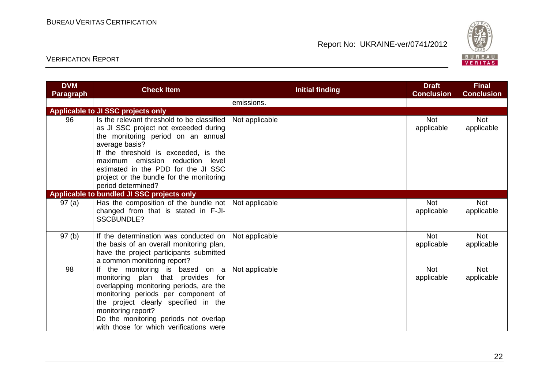

| <b>DVM</b><br><b>Paragraph</b> | <b>Check Item</b>                                                                                                                                                                                                                                                                                                                   | <b>Initial finding</b> | <b>Draft</b><br><b>Conclusion</b> | <b>Final</b><br><b>Conclusion</b> |
|--------------------------------|-------------------------------------------------------------------------------------------------------------------------------------------------------------------------------------------------------------------------------------------------------------------------------------------------------------------------------------|------------------------|-----------------------------------|-----------------------------------|
|                                |                                                                                                                                                                                                                                                                                                                                     | emissions.             |                                   |                                   |
|                                | <b>Applicable to JI SSC projects only</b>                                                                                                                                                                                                                                                                                           |                        |                                   |                                   |
| 96                             | Is the relevant threshold to be classified<br>as JI SSC project not exceeded during<br>the monitoring period on an annual<br>average basis?<br>If the threshold is exceeded, is the<br>maximum emission reduction<br>level<br>estimated in the PDD for the JI SSC<br>project or the bundle for the monitoring<br>period determined? | Not applicable         | <b>Not</b><br>applicable          | <b>Not</b><br>applicable          |
|                                | Applicable to bundled JI SSC projects only                                                                                                                                                                                                                                                                                          |                        |                                   |                                   |
| 97(a)                          | Has the composition of the bundle not   Not applicable<br>changed from that is stated in F-JI-<br><b>SSCBUNDLE?</b>                                                                                                                                                                                                                 |                        | <b>Not</b><br>applicable          | <b>Not</b><br>applicable          |
| 97(b)                          | If the determination was conducted on<br>the basis of an overall monitoring plan,<br>have the project participants submitted<br>a common monitoring report?                                                                                                                                                                         | Not applicable         | <b>Not</b><br>applicable          | <b>Not</b><br>applicable          |
| 98                             | If the monitoring is based on a<br>monitoring plan that provides for<br>overlapping monitoring periods, are the<br>monitoring periods per component of<br>the project clearly specified in the<br>monitoring report?<br>Do the monitoring periods not overlap<br>with those for which verifications were                            | Not applicable         | <b>Not</b><br>applicable          | <b>Not</b><br>applicable          |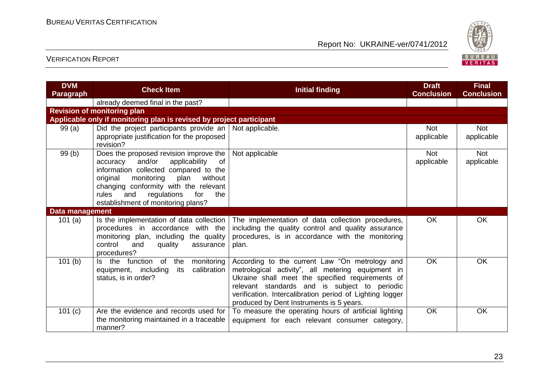

| <b>DVM</b><br><b>Paragraph</b> | <b>Check Item</b>                                                                                                                                                                                                                                                                                     | <b>Initial finding</b>                                                                                                                                                                                                                                                                                           | <b>Draft</b><br><b>Conclusion</b> | <b>Final</b><br><b>Conclusion</b> |
|--------------------------------|-------------------------------------------------------------------------------------------------------------------------------------------------------------------------------------------------------------------------------------------------------------------------------------------------------|------------------------------------------------------------------------------------------------------------------------------------------------------------------------------------------------------------------------------------------------------------------------------------------------------------------|-----------------------------------|-----------------------------------|
|                                | already deemed final in the past?                                                                                                                                                                                                                                                                     |                                                                                                                                                                                                                                                                                                                  |                                   |                                   |
|                                | <b>Revision of monitoring plan</b>                                                                                                                                                                                                                                                                    |                                                                                                                                                                                                                                                                                                                  |                                   |                                   |
|                                | Applicable only if monitoring plan is revised by project participant                                                                                                                                                                                                                                  |                                                                                                                                                                                                                                                                                                                  |                                   |                                   |
| 99(a)                          | Did the project participants provide an<br>appropriate justification for the proposed<br>revision?                                                                                                                                                                                                    | Not applicable.                                                                                                                                                                                                                                                                                                  | <b>Not</b><br>applicable          | <b>Not</b><br>applicable          |
| 99(b)                          | Does the proposed revision improve the<br>and/or<br>applicability<br>accuracy<br>0f<br>information collected compared to the<br>monitoring<br>without<br>original<br>plan<br>changing conformity with the relevant<br>rules<br>regulations<br>for<br>and<br>the<br>establishment of monitoring plans? | Not applicable                                                                                                                                                                                                                                                                                                   | <b>Not</b><br>applicable          | <b>Not</b><br>applicable          |
| Data management                |                                                                                                                                                                                                                                                                                                       |                                                                                                                                                                                                                                                                                                                  |                                   |                                   |
| 101 $(a)$                      | Is the implementation of data collection<br>procedures in accordance with the<br>monitoring plan, including the quality<br>control<br>quality<br>and<br>assurance<br>procedures?                                                                                                                      | The implementation of data collection procedures,<br>including the quality control and quality assurance<br>procedures, is in accordance with the monitoring<br>plan.                                                                                                                                            | <b>OK</b>                         | <b>OK</b>                         |
| 101(b)                         | Is the function of the<br>monitoring<br>equipment, including<br>its<br>calibration<br>status, is in order?                                                                                                                                                                                            | According to the current Law "On metrology and<br>metrological activity", all metering equipment in<br>Ukraine shall meet the specified requirements of<br>relevant standards and is subject to periodic<br>verification. Intercalibration period of Lighting logger<br>produced by Dent Instruments is 5 years. | <b>OK</b>                         | <b>OK</b>                         |
| 101 (c)                        | Are the evidence and records used for<br>the monitoring maintained in a traceable<br>manner?                                                                                                                                                                                                          | To measure the operating hours of artificial lighting<br>equipment for each relevant consumer category,                                                                                                                                                                                                          | <b>OK</b>                         | <b>OK</b>                         |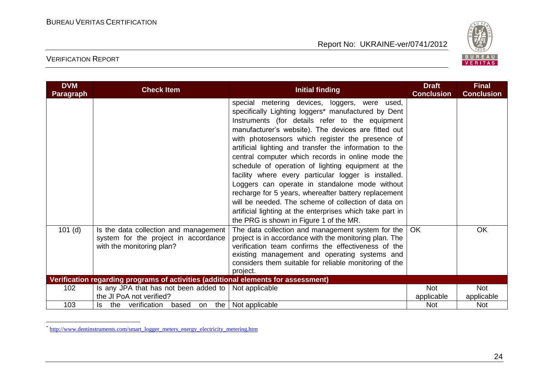

# VERIFICATION REPORT

<u>.</u>

| <b>DVM</b><br><b>Paragraph</b> | <b>Check Item</b>                                                                                          | <b>Initial finding</b>                                                                                                                                                                                                                                                                                                                                                                                                                                                                                                                                                                                                                                                                                                                                                    | <b>Draft</b><br><b>Conclusion</b> | <b>Final</b><br><b>Conclusion</b> |
|--------------------------------|------------------------------------------------------------------------------------------------------------|---------------------------------------------------------------------------------------------------------------------------------------------------------------------------------------------------------------------------------------------------------------------------------------------------------------------------------------------------------------------------------------------------------------------------------------------------------------------------------------------------------------------------------------------------------------------------------------------------------------------------------------------------------------------------------------------------------------------------------------------------------------------------|-----------------------------------|-----------------------------------|
|                                |                                                                                                            | special metering devices, loggers, were used,<br>specifically Lighting loggers* manufactured by Dent<br>Instruments (for details refer to the equipment<br>manufacturer's website). The devices are fitted out<br>with photosensors which register the presence of<br>artificial lighting and transfer the information to the<br>central computer which records in online mode the<br>schedule of operation of lighting equipment at the<br>facility where every particular logger is installed.<br>Loggers can operate in standalone mode without<br>recharge for 5 years, whereafter battery replacement<br>will be needed. The scheme of collection of data on<br>artificial lighting at the enterprises which take part in<br>the PRG is shown in Figure 1 of the MR. |                                   |                                   |
| $101$ (d)                      | Is the data collection and management<br>system for the project in accordance<br>with the monitoring plan? | The data collection and management system for the<br>project is in accordance with the monitoring plan. The<br>verification team confirms the effectiveness of the<br>existing management and operating systems and<br>considers them suitable for reliable monitoring of the<br>project.                                                                                                                                                                                                                                                                                                                                                                                                                                                                                 | OK                                | <b>OK</b>                         |
|                                | Verification regarding programs of activities (additional elements for assessment)                         |                                                                                                                                                                                                                                                                                                                                                                                                                                                                                                                                                                                                                                                                                                                                                                           |                                   |                                   |
| 102                            | Is any JPA that has not been added to $ $<br>the JI PoA not verified?                                      | Not applicable                                                                                                                                                                                                                                                                                                                                                                                                                                                                                                                                                                                                                                                                                                                                                            | <b>Not</b><br>applicable          | <b>Not</b><br>applicable          |
| 103                            | Is the verification based on the Not applicable                                                            |                                                                                                                                                                                                                                                                                                                                                                                                                                                                                                                                                                                                                                                                                                                                                                           | <b>Not</b>                        | <b>Not</b>                        |

<sup>\*</sup> [http://www.dentinstruments.com/smart\\_logger\\_meters\\_energy\\_electricity\\_metering.htm](http://www.dentinstruments.com/smart_logger_meters_energy_electricity_metering.htm)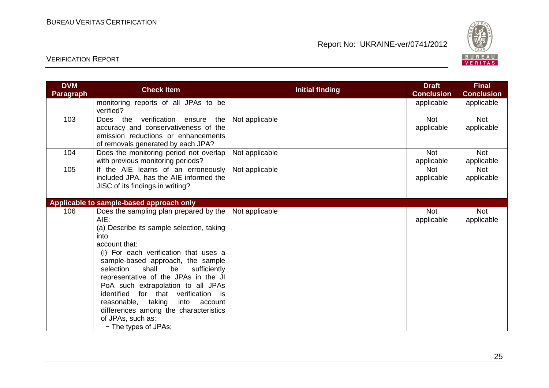

| <b>DVM</b> | <b>Check Item</b>                         | <b>Initial finding</b> | <b>Draft</b><br><b>Conclusion</b> | <b>Final</b>      |
|------------|-------------------------------------------|------------------------|-----------------------------------|-------------------|
| Paragraph  |                                           |                        |                                   | <b>Conclusion</b> |
|            | monitoring reports of all JPAs to be      |                        | applicable                        | applicable        |
|            | verified?                                 |                        |                                   |                   |
| 103        | verification ensure<br>the<br>the<br>Does | Not applicable         | <b>Not</b>                        | <b>Not</b>        |
|            | accuracy and conservativeness of the      |                        | applicable                        | applicable        |
|            | emission reductions or enhancements       |                        |                                   |                   |
|            | of removals generated by each JPA?        |                        |                                   |                   |
| 104        | Does the monitoring period not overlap    | Not applicable         | <b>Not</b>                        | <b>Not</b>        |
|            | with previous monitoring periods?         |                        | applicable                        | applicable        |
| 105        | If the AIE learns of an erroneously       | Not applicable         | <b>Not</b>                        | <b>Not</b>        |
|            | included JPA, has the AIE informed the    |                        | applicable                        | applicable        |
|            | JISC of its findings in writing?          |                        |                                   |                   |
|            |                                           |                        |                                   |                   |
|            | Applicable to sample-based approach only  |                        |                                   |                   |
| 106        | Does the sampling plan prepared by the    | Not applicable         | <b>Not</b>                        | <b>Not</b>        |
|            | AIE:                                      |                        | applicable                        | applicable        |
|            | (a) Describe its sample selection, taking |                        |                                   |                   |
|            | into                                      |                        |                                   |                   |
|            | account that:                             |                        |                                   |                   |
|            | (i) For each verification that uses a     |                        |                                   |                   |
|            | sample-based approach, the sample         |                        |                                   |                   |
|            | shall<br>sufficiently<br>selection<br>be  |                        |                                   |                   |
|            | representative of the JPAs in the JI      |                        |                                   |                   |
|            | PoA such extrapolation to all JPAs        |                        |                                   |                   |
|            | identified for that verification is       |                        |                                   |                   |
|            | reasonable,<br>taking<br>into<br>account  |                        |                                   |                   |
|            | differences among the characteristics     |                        |                                   |                   |
|            | of JPAs, such as:                         |                        |                                   |                   |
|            | - The types of JPAs;                      |                        |                                   |                   |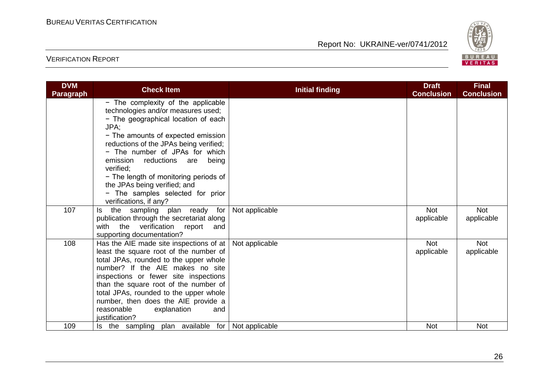

| <b>DVM</b><br>Paragraph | <b>Check Item</b>                                                                                                                                                                                                                                                                                                                                                                                       | <b>Initial finding</b> | <b>Draft</b><br><b>Conclusion</b> | <b>Final</b><br><b>Conclusion</b> |
|-------------------------|---------------------------------------------------------------------------------------------------------------------------------------------------------------------------------------------------------------------------------------------------------------------------------------------------------------------------------------------------------------------------------------------------------|------------------------|-----------------------------------|-----------------------------------|
|                         | - The complexity of the applicable<br>technologies and/or measures used;<br>- The geographical location of each<br>JPA;<br>- The amounts of expected emission<br>reductions of the JPAs being verified;<br>- The number of JPAs for which<br>emission reductions are<br>being<br>verified:<br>- The length of monitoring periods of<br>the JPAs being verified; and<br>- The samples selected for prior |                        |                                   |                                   |
| 107                     | verifications, if any?<br>the sampling plan ready for<br>ls.<br>publication through the secretariat along<br>with the verification report<br>and<br>supporting documentation?                                                                                                                                                                                                                           | Not applicable         | <b>Not</b><br>applicable          | <b>Not</b><br>applicable          |
| 108                     | Has the AIE made site inspections of at<br>least the square root of the number of<br>total JPAs, rounded to the upper whole<br>number? If the AIE makes no site<br>inspections or fewer site inspections<br>than the square root of the number of<br>total JPAs, rounded to the upper whole<br>number, then does the AIE provide a<br>reasonable<br>explanation<br>and<br>justification?                | Not applicable         | <b>Not</b><br>applicable          | <b>Not</b><br>applicable          |
| 109                     | Is the sampling plan available for                                                                                                                                                                                                                                                                                                                                                                      | Not applicable         | <b>Not</b>                        | <b>Not</b>                        |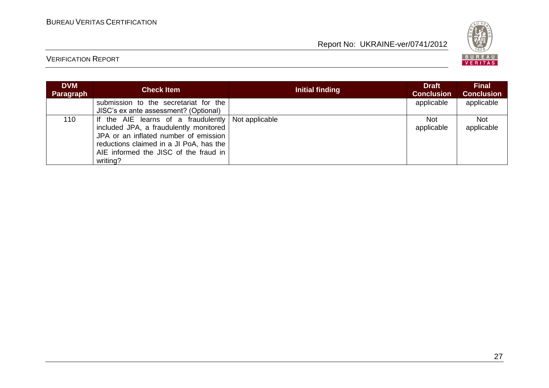

| <b>DVM</b><br><b>Paragraph</b> | <b>Check Item</b>                                                                                                                                                                                                                     | Initial finding | Draft<br><b>Conclusion</b> | <b>Final</b><br><b>Conclusion</b> |
|--------------------------------|---------------------------------------------------------------------------------------------------------------------------------------------------------------------------------------------------------------------------------------|-----------------|----------------------------|-----------------------------------|
|                                | submission to the secretariat for the<br>JISC's ex ante assessment? (Optional)                                                                                                                                                        |                 | applicable                 | applicable                        |
| 110                            | If the AIE learns of a fraudulently Not applicable<br>included JPA, a fraudulently monitored<br>JPA or an inflated number of emission<br>reductions claimed in a JI PoA, has the<br>AIE informed the JISC of the fraud in<br>writing? |                 | Not.<br>applicable         | <b>Not</b><br>applicable          |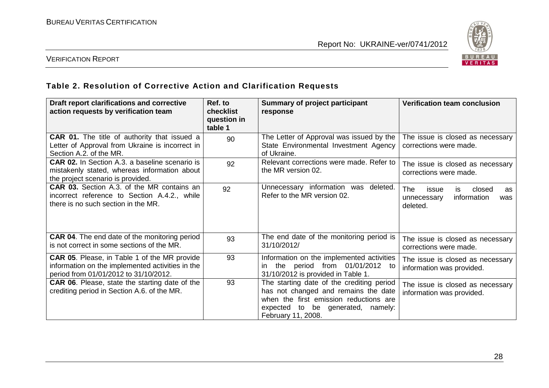

# VERIFICATION REPORT

### **Table 2. Resolution of Corrective Action and Clarification Requests**

| Draft report clarifications and corrective<br>action requests by verification team                                                               | Ref. to<br><b>checklist</b><br>question in<br>table 1 | <b>Summary of project participant</b><br>response                                                                                                                                         | <b>Verification team conclusion</b>                                                  |
|--------------------------------------------------------------------------------------------------------------------------------------------------|-------------------------------------------------------|-------------------------------------------------------------------------------------------------------------------------------------------------------------------------------------------|--------------------------------------------------------------------------------------|
| <b>CAR 01.</b> The title of authority that issued a<br>Letter of Approval from Ukraine is incorrect in<br>Section A.2. of the MR.                | 90                                                    | The Letter of Approval was issued by the<br>State Environmental Investment Agency<br>of Ukraine.                                                                                          | The issue is closed as necessary<br>corrections were made.                           |
| <b>CAR 02.</b> In Section A.3. a baseline scenario is<br>mistakenly stated, whereas information about<br>the project scenario is provided.       | 92                                                    | Relevant corrections were made. Refer to<br>the MR version 02.                                                                                                                            | The issue is closed as necessary<br>corrections were made.                           |
| <b>CAR 03.</b> Section A.3. of the MR contains an<br>incorrect reference to Section A.4.2., while<br>there is no such section in the MR.         | 92                                                    | Unnecessary information was<br>deleted.<br>Refer to the MR version 02.                                                                                                                    | The<br>closed<br>issue<br>is.<br>as<br>information<br>unnecessary<br>was<br>deleted. |
| <b>CAR 04.</b> The end date of the monitoring period<br>is not correct in some sections of the MR.                                               | 93                                                    | The end date of the monitoring period is<br>31/10/2012/                                                                                                                                   | The issue is closed as necessary<br>corrections were made.                           |
| <b>CAR 05.</b> Please, in Table 1 of the MR provide<br>information on the implemented activities in the<br>period from 01/01/2012 to 31/10/2012. | 93                                                    | Information on the implemented activities<br>the period from 01/01/2012 to<br>31/10/2012 is provided in Table 1.                                                                          | The issue is closed as necessary<br>information was provided.                        |
| <b>CAR 06.</b> Please, state the starting date of the<br>crediting period in Section A.6. of the MR.                                             | 93                                                    | The starting date of the crediting period<br>has not changed and remains the date<br>when the first emission reductions are<br>expected to be generated,<br>namely:<br>February 11, 2008. | The issue is closed as necessary<br>information was provided.                        |